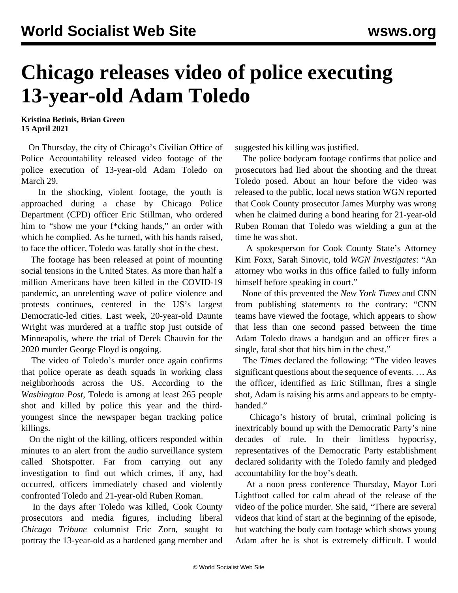## **Chicago releases video of police executing 13-year-old Adam Toledo**

**Kristina Betinis, Brian Green 15 April 2021**

 On Thursday, the city of Chicago's Civilian Office of Police Accountability released [video footage](https://vimeo.com/user51379210) of the police execution of 13-year-old Adam Toledo on March 29.

 In the shocking, violent footage, the youth is approached during a chase by Chicago Police Department (CPD) officer Eric Stillman, who ordered him to "show me your f\*cking hands," an order with which he complied. As he turned, with his hands raised, to face the officer, Toledo was fatally shot in the chest.

 The footage has been released at point of mounting social tensions in the United States. As more than half a million Americans have been killed in the COVID-19 pandemic, an unrelenting wave of police violence and protests continues, centered in the US's largest Democratic-led cities. Last week, 20-year-old Daunte Wright was murdered at a traffic stop just outside of Minneapolis, where the trial of Derek Chauvin for the 2020 murder George Floyd is ongoing.

 The video of Toledo's murder once again confirms that police operate as death squads in working class neighborhoods across the US. According to the *Washington Post*, Toledo is among at least 265 people shot and killed by police this year and the thirdyoungest since the newspaper began tracking police killings.

 On the night of the killing, officers responded within minutes to an alert from the audio surveillance system called Shotspotter. Far from carrying out any investigation to find out which crimes, if any, had occurred, officers immediately chased and violently confronted Toledo and 21-year-old Ruben Roman.

 In the days after Toledo was killed, Cook County prosecutors and media figures, including liberal *Chicago Tribune* columnist Eric Zorn, sought to portray the 13-year-old as a hardened gang member and suggested his killing was justified.

 The police bodycam footage confirms that police and prosecutors had lied about the shooting and the threat Toledo posed. About an hour before the video was released to the public, local news station WGN reported that Cook County prosecutor James Murphy was wrong when he claimed during a bond hearing for 21-year-old Ruben Roman that Toledo was wielding a gun at the time he was shot.

 A spokesperson for Cook County State's Attorney Kim Foxx, Sarah Sinovic, told *WGN Investigates*: "An attorney who works in this office failed to fully inform himself before speaking in court."

 None of this prevented the *New York Times* and CNN from publishing statements to the contrary: "CNN teams have viewed the footage, which appears to show that less than one second passed between the time Adam Toledo draws a handgun and an officer fires a single, fatal shot that hits him in the chest."

 The *Times* declared the following: "The video leaves significant questions about the sequence of events. … As the officer, identified as Eric Stillman, fires a single shot, Adam is raising his arms and appears to be emptyhanded."

 Chicago's history of brutal, criminal policing is inextricably bound up with the Democratic Party's nine decades of rule. In their limitless hypocrisy, representatives of the Democratic Party establishment declared solidarity with the Toledo family and pledged accountability for the boy's death.

 At a noon press conference Thursday, Mayor Lori Lightfoot called for calm ahead of the release of the video of the police murder. She said, "There are several videos that kind of start at the beginning of the episode, but watching the body cam footage which shows young Adam after he is shot is extremely difficult. I would